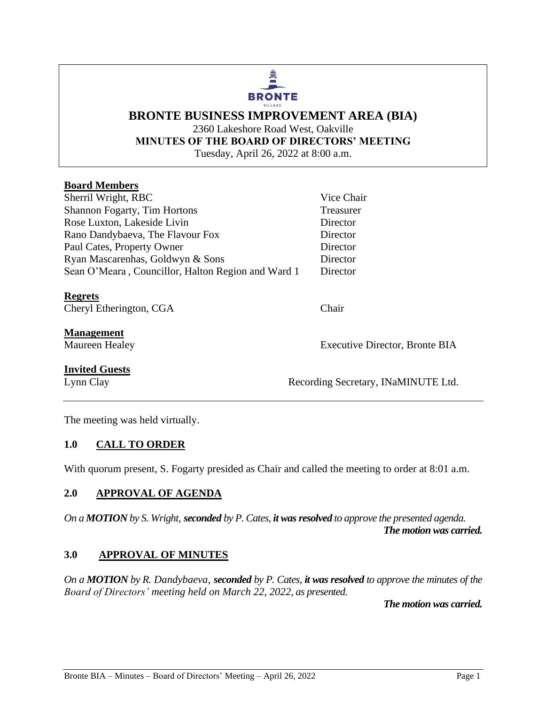# **BRONTE** VILLAGE

## **BRONTE BUSINESS IMPROVEMENT AREA (BIA)** 2360 Lakeshore Road West, Oakville **MINUTES OF THE BOARD OF DIRECTORS' MEETING** Tuesday, April 26, 2022 at 8:00 a.m.

## **Board Members**

| Sherril Wright, RBC                                | Vice Chair |
|----------------------------------------------------|------------|
| Shannon Fogarty, Tim Hortons                       | Treasurer  |
| Rose Luxton, Lakeside Livin                        | Director   |
| Rano Dandybaeva, The Flavour Fox                   | Director   |
| Paul Cates, Property Owner                         | Director   |
| Ryan Mascarenhas, Goldwyn & Sons                   | Director   |
| Sean O'Meara, Councillor, Halton Region and Ward 1 | Director   |

#### **Regrets**

Cheryl Etherington, CGA Chair

**Management**

Maureen Healey **Executive Director**, Bronte BIA

#### **Invited Guests**

Lynn Clay Recording Secretary, INaMINUTE Ltd.

The meeting was held virtually.

## **1.0 CALL TO ORDER**

With quorum present, S. Fogarty presided as Chair and called the meeting to order at 8:01 a.m.

#### **2.0 APPROVAL OF AGENDA**

*On a MOTION by S. Wright, seconded by P. Cates, it was resolved to approve the presented agenda. The motion was carried.*

#### **3.0 APPROVAL OF MINUTES**

*On a MOTION by R. Dandybaeva, seconded by P. Cates, it was resolved to approve the minutes of the Board of Directors' meeting held on March 22, 2022, as presented.*

*The motion was carried.*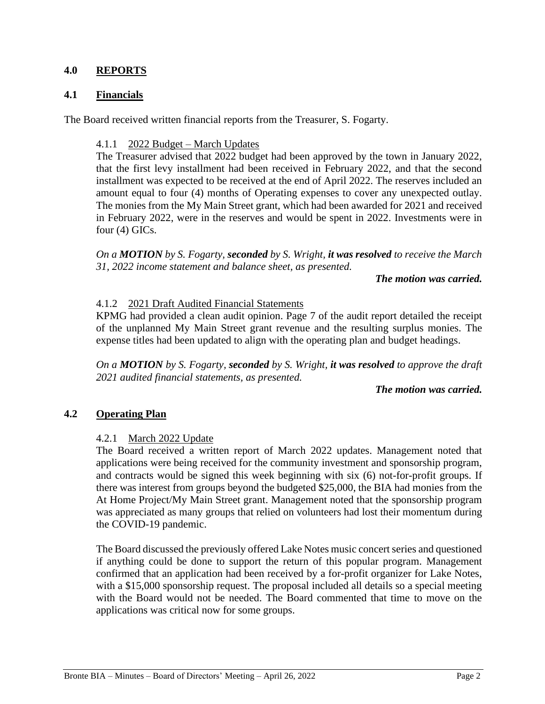### **4.0 REPORTS**

#### **4.1 Financials**

The Board received written financial reports from the Treasurer, S. Fogarty.

#### 4.1.1 2022 Budget – March Updates

The Treasurer advised that 2022 budget had been approved by the town in January 2022, that the first levy installment had been received in February 2022, and that the second installment was expected to be received at the end of April 2022. The reserves included an amount equal to four (4) months of Operating expenses to cover any unexpected outlay. The monies from the My Main Street grant, which had been awarded for 2021 and received in February 2022, were in the reserves and would be spent in 2022. Investments were in four (4) GICs.

*On a MOTION by S. Fogarty, seconded by S. Wright, it was resolved to receive the March 31, 2022 income statement and balance sheet, as presented.* 

*The motion was carried.*

#### 4.1.2 2021 Draft Audited Financial Statements

KPMG had provided a clean audit opinion. Page 7 of the audit report detailed the receipt of the unplanned My Main Street grant revenue and the resulting surplus monies. The expense titles had been updated to align with the operating plan and budget headings.

*On a MOTION by S. Fogarty, seconded by S. Wright, it was resolved to approve the draft 2021 audited financial statements, as presented.* 

#### *The motion was carried.*

#### **4.2 Operating Plan**

#### 4.2.1 March 2022 Update

The Board received a written report of March 2022 updates. Management noted that applications were being received for the community investment and sponsorship program, and contracts would be signed this week beginning with six (6) not-for-profit groups. If there was interest from groups beyond the budgeted \$25,000, the BIA had monies from the At Home Project/My Main Street grant. Management noted that the sponsorship program was appreciated as many groups that relied on volunteers had lost their momentum during the COVID-19 pandemic.

The Board discussed the previously offered Lake Notes music concert series and questioned if anything could be done to support the return of this popular program. Management confirmed that an application had been received by a for-profit organizer for Lake Notes, with a \$15,000 sponsorship request. The proposal included all details so a special meeting with the Board would not be needed. The Board commented that time to move on the applications was critical now for some groups.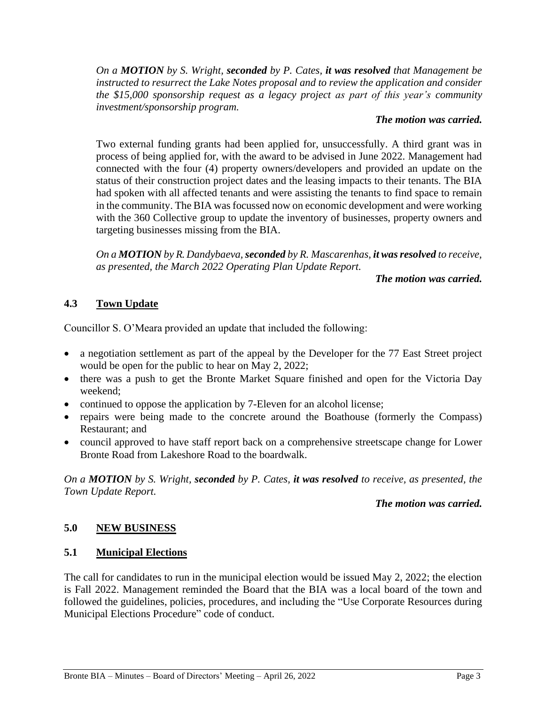*On a MOTION by S. Wright, seconded by P. Cates, it was resolved that Management be instructed to resurrect the Lake Notes proposal and to review the application and consider the \$15,000 sponsorship request as a legacy project as part of this year's community investment/sponsorship program.* 

#### *The motion was carried.*

Two external funding grants had been applied for, unsuccessfully. A third grant was in process of being applied for, with the award to be advised in June 2022. Management had connected with the four (4) property owners/developers and provided an update on the status of their construction project dates and the leasing impacts to their tenants. The BIA had spoken with all affected tenants and were assisting the tenants to find space to remain in the community. The BIA was focussed now on economic development and were working with the 360 Collective group to update the inventory of businesses, property owners and targeting businesses missing from the BIA.

*On a MOTION by R. Dandybaeva, seconded by R. Mascarenhas, it was resolved to receive, as presented, the March 2022 Operating Plan Update Report.*

*The motion was carried.*

## **4.3 Town Update**

Councillor S. O'Meara provided an update that included the following:

- a negotiation settlement as part of the appeal by the Developer for the 77 East Street project would be open for the public to hear on May 2, 2022;
- there was a push to get the Bronte Market Square finished and open for the Victoria Day weekend;
- continued to oppose the application by 7-Eleven for an alcohol license;
- repairs were being made to the concrete around the Boathouse (formerly the Compass) Restaurant; and
- council approved to have staff report back on a comprehensive streetscape change for Lower Bronte Road from Lakeshore Road to the boardwalk.

*On a MOTION by S. Wright, seconded by P. Cates, it was resolved to receive, as presented, the Town Update Report.*

### *The motion was carried.*

## **5.0 NEW BUSINESS**

## **5.1 Municipal Elections**

The call for candidates to run in the municipal election would be issued May 2, 2022; the election is Fall 2022. Management reminded the Board that the BIA was a local board of the town and followed the guidelines, policies, procedures, and including the "Use Corporate Resources during Municipal Elections Procedure" code of conduct.